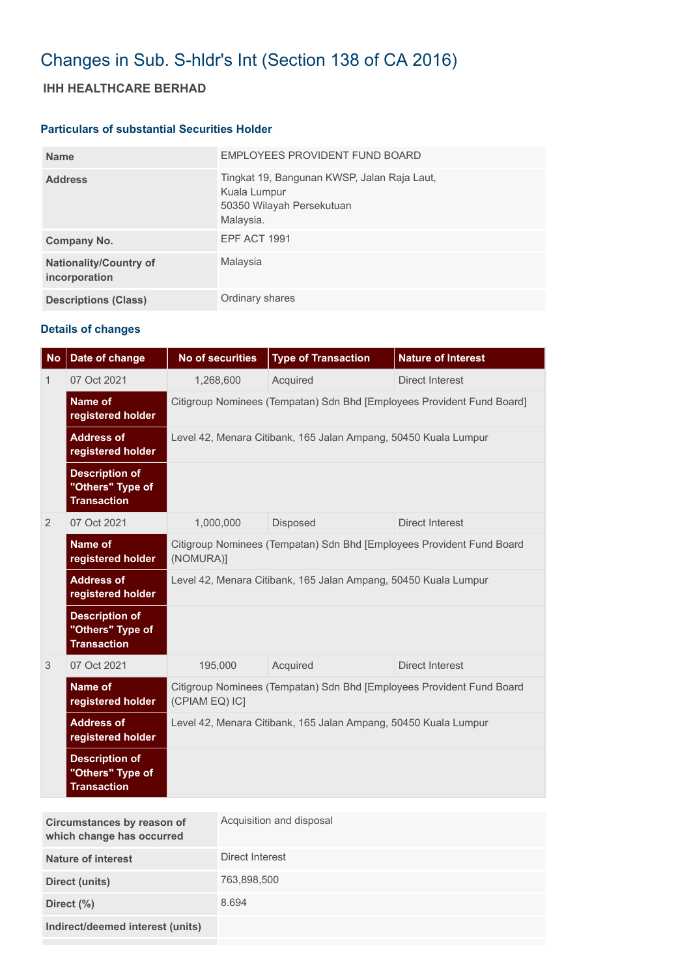## Changes in Sub. S-hldr's Int (Section 138 of CA 2016)

## **IHH HEALTHCARE BERHAD**

## **Particulars of substantial Securities Holder**

| <b>Name</b>                                    | EMPLOYEES PROVIDENT FUND BOARD                                                                        |
|------------------------------------------------|-------------------------------------------------------------------------------------------------------|
| <b>Address</b>                                 | Tingkat 19, Bangunan KWSP, Jalan Raja Laut,<br>Kuala Lumpur<br>50350 Wilayah Persekutuan<br>Malaysia. |
| Company No.                                    | <b>EPF ACT 1991</b>                                                                                   |
| <b>Nationality/Country of</b><br>incorporation | Malaysia                                                                                              |
| <b>Descriptions (Class)</b>                    | Ordinary shares                                                                                       |

## **Details of changes**

| <b>No</b>    | Date of change                                                  | <b>No of securities</b>                                                                 | <b>Type of Transaction</b> | <b>Nature of Interest</b> |  |
|--------------|-----------------------------------------------------------------|-----------------------------------------------------------------------------------------|----------------------------|---------------------------|--|
| $\mathbf{1}$ | 07 Oct 2021                                                     | 1,268,600                                                                               | Acquired                   | <b>Direct Interest</b>    |  |
|              | <b>Name of</b><br>registered holder                             | Citigroup Nominees (Tempatan) Sdn Bhd [Employees Provident Fund Board]                  |                            |                           |  |
|              | <b>Address of</b><br>registered holder                          | Level 42, Menara Citibank, 165 Jalan Ampang, 50450 Kuala Lumpur                         |                            |                           |  |
|              | <b>Description of</b><br>"Others" Type of<br><b>Transaction</b> |                                                                                         |                            |                           |  |
| 2            | 07 Oct 2021                                                     | 1,000,000                                                                               | Disposed                   | <b>Direct Interest</b>    |  |
|              | <b>Name of</b><br>registered holder                             | Citigroup Nominees (Tempatan) Sdn Bhd [Employees Provident Fund Board<br>(NOMURA)]      |                            |                           |  |
|              | <b>Address of</b><br>registered holder                          | Level 42, Menara Citibank, 165 Jalan Ampang, 50450 Kuala Lumpur                         |                            |                           |  |
|              | <b>Description of</b><br>"Others" Type of<br><b>Transaction</b> |                                                                                         |                            |                           |  |
| 3            | 07 Oct 2021                                                     | 195,000                                                                                 | Acquired                   | <b>Direct Interest</b>    |  |
|              | Name of<br>registered holder                                    | Citigroup Nominees (Tempatan) Sdn Bhd [Employees Provident Fund Board<br>(CPIAM EQ) IC] |                            |                           |  |
|              | <b>Address of</b><br>registered holder                          | Level 42, Menara Citibank, 165 Jalan Ampang, 50450 Kuala Lumpur                         |                            |                           |  |
|              | <b>Description of</b><br>"Others" Type of<br><b>Transaction</b> |                                                                                         |                            |                           |  |

| Circumstances by reason of<br>which change has occurred | Acquisition and disposal |
|---------------------------------------------------------|--------------------------|
| Nature of interest                                      | Direct Interest          |
| Direct (units)                                          | 763,898,500              |
| Direct $(\%)$                                           | 8.694                    |
| Indirect/deemed interest (units)                        |                          |